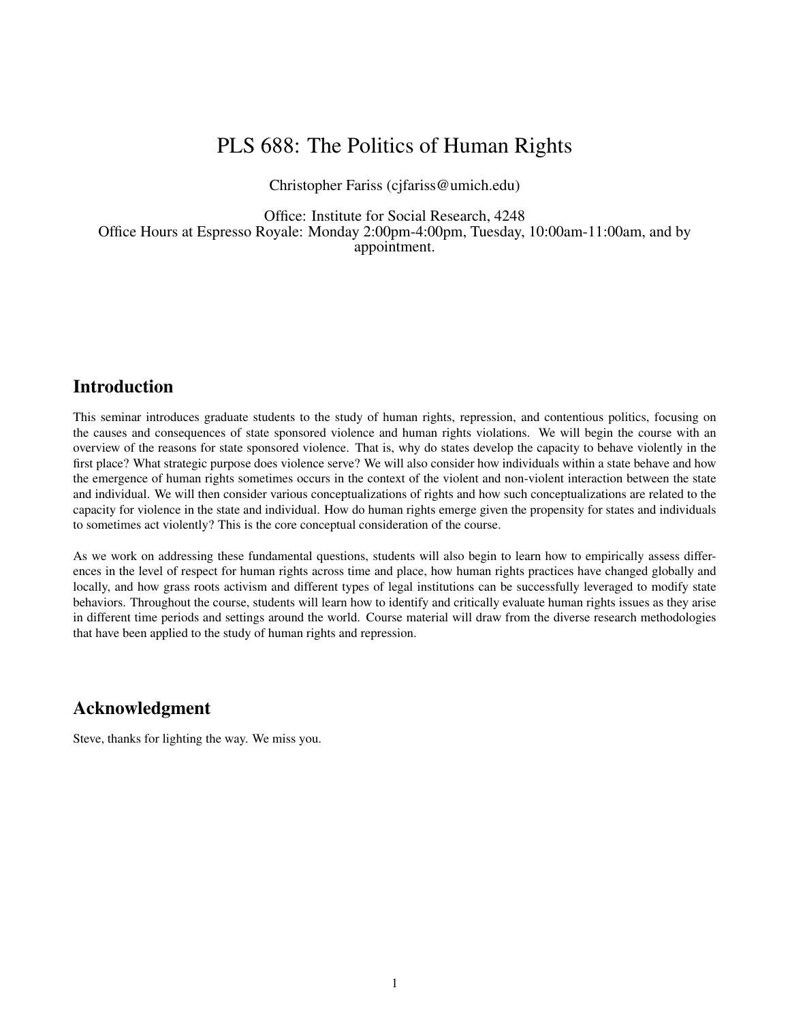# PLS 688: The Politics of Human Rights

Christopher Fariss (cjfariss@umich.edu)

Office: Institute for Social Research, 4248 Office Hours at Espresso Royale: Monday 2:00pm-4:00pm, Tuesday, 10:00am-11:00am, and by appointment.

# Introduction

This seminar introduces graduate students to the study of human rights, repression, and contentious politics, focusing on the causes and consequences of state sponsored violence and human rights violations. We will begin the course with an overview of the reasons for state sponsored violence. That is, why do states develop the capacity to behave violently in the first place? What strategic purpose does violence serve? We will also consider how individuals within a state behave and how the emergence of human rights sometimes occurs in the context of the violent and non-violent interaction between the state and individual. We will then consider various conceptualizations of rights and how such conceptualizations are related to the capacity for violence in the state and individual. How do human rights emerge given the propensity for states and individuals to sometimes act violently? This is the core conceptual consideration of the course.

As we work on addressing these fundamental questions, students will also begin to learn how to empirically assess differences in the level of respect for human rights across time and place, how human rights practices have changed globally and locally, and how grass roots activism and different types of legal institutions can be successfully leveraged to modify state behaviors. Throughout the course, students will learn how to identify and critically evaluate human rights issues as they arise in different time periods and settings around the world. Course material will draw from the diverse research methodologies that have been applied to the study of human rights and repression.

# Acknowledgment

Steve, thanks for lighting the way. We miss you.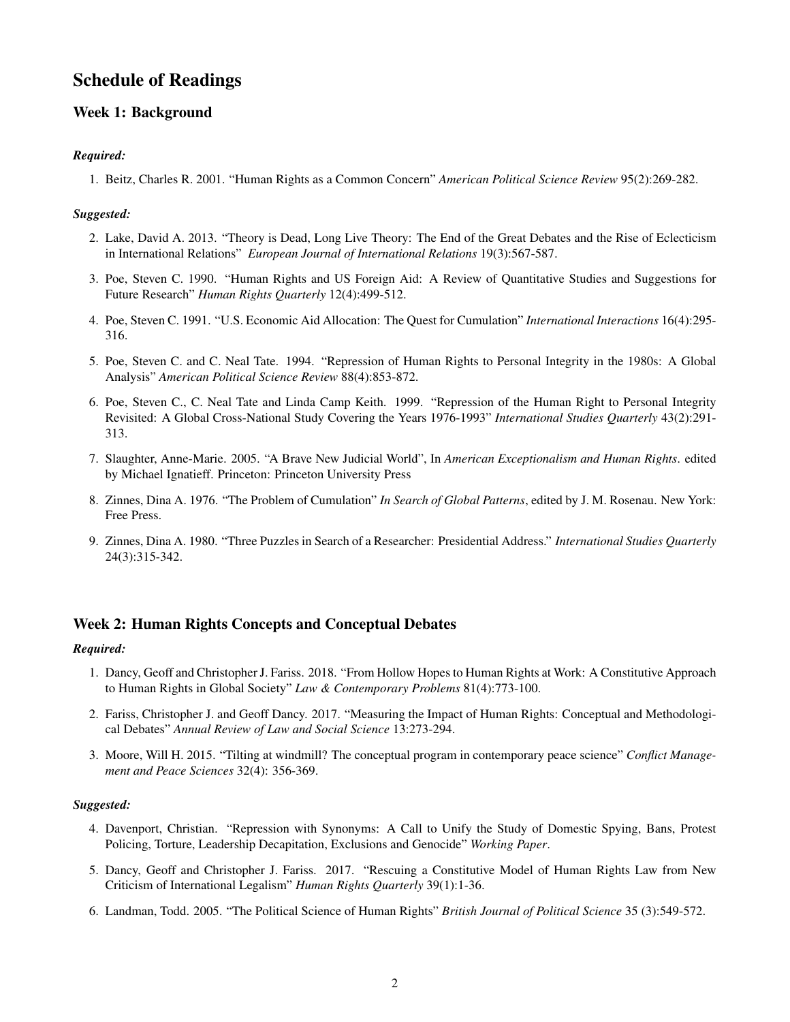# Schedule of Readings

# Week 1: Background

## *Required:*

1. Beitz, Charles R. 2001. "Human Rights as a Common Concern" *American Political Science Review* 95(2):269-282.

## *Suggested:*

- 2. Lake, David A. 2013. "Theory is Dead, Long Live Theory: The End of the Great Debates and the Rise of Eclecticism in International Relations" *European Journal of International Relations* 19(3):567-587.
- 3. Poe, Steven C. 1990. "Human Rights and US Foreign Aid: A Review of Quantitative Studies and Suggestions for Future Research" *Human Rights Quarterly* 12(4):499-512.
- 4. Poe, Steven C. 1991. "U.S. Economic Aid Allocation: The Quest for Cumulation" *International Interactions* 16(4):295- 316.
- 5. Poe, Steven C. and C. Neal Tate. 1994. "Repression of Human Rights to Personal Integrity in the 1980s: A Global Analysis" *American Political Science Review* 88(4):853-872.
- 6. Poe, Steven C., C. Neal Tate and Linda Camp Keith. 1999. "Repression of the Human Right to Personal Integrity Revisited: A Global Cross-National Study Covering the Years 1976-1993" *International Studies Quarterly* 43(2):291- 313.
- 7. Slaughter, Anne-Marie. 2005. "A Brave New Judicial World", In *American Exceptionalism and Human Rights*. edited by Michael Ignatieff. Princeton: Princeton University Press
- 8. Zinnes, Dina A. 1976. "The Problem of Cumulation" *In Search of Global Patterns*, edited by J. M. Rosenau. New York: Free Press.
- 9. Zinnes, Dina A. 1980. "Three Puzzles in Search of a Researcher: Presidential Address." *International Studies Quarterly* 24(3):315-342.

## Week 2: Human Rights Concepts and Conceptual Debates

## *Required:*

- 1. Dancy, Geoff and Christopher J. Fariss. 2018. "From Hollow Hopes to Human Rights at Work: A Constitutive Approach to Human Rights in Global Society" *Law & Contemporary Problems* 81(4):773-100.
- 2. Fariss, Christopher J. and Geoff Dancy. 2017. "Measuring the Impact of Human Rights: Conceptual and Methodological Debates" *Annual Review of Law and Social Science* 13:273-294.
- 3. Moore, Will H. 2015. "Tilting at windmill? The conceptual program in contemporary peace science" *Conflict Management and Peace Sciences* 32(4): 356-369.

- 4. Davenport, Christian. "Repression with Synonyms: A Call to Unify the Study of Domestic Spying, Bans, Protest Policing, Torture, Leadership Decapitation, Exclusions and Genocide" *Working Paper*.
- 5. Dancy, Geoff and Christopher J. Fariss. 2017. "Rescuing a Constitutive Model of Human Rights Law from New Criticism of International Legalism" *Human Rights Quarterly* 39(1):1-36.
- 6. Landman, Todd. 2005. "The Political Science of Human Rights" *British Journal of Political Science* 35 (3):549-572.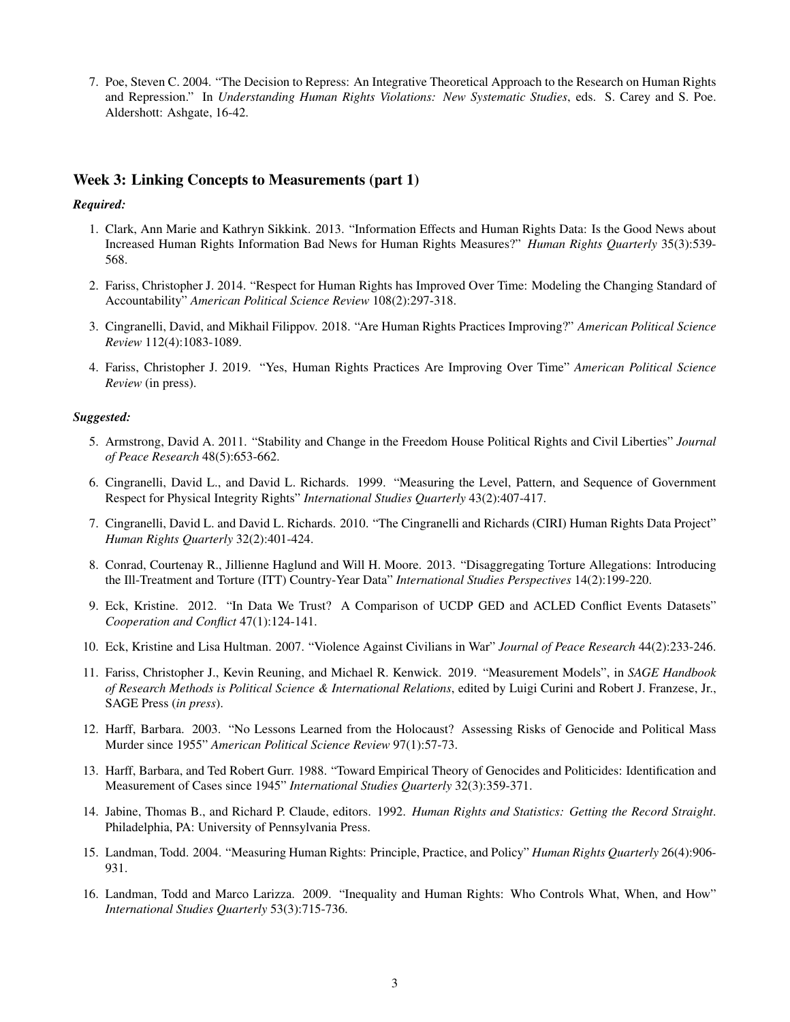7. Poe, Steven C. 2004. "The Decision to Repress: An Integrative Theoretical Approach to the Research on Human Rights and Repression." In *Understanding Human Rights Violations: New Systematic Studies*, eds. S. Carey and S. Poe. Aldershott: Ashgate, 16-42.

## Week 3: Linking Concepts to Measurements (part 1)

## *Required:*

- 1. Clark, Ann Marie and Kathryn Sikkink. 2013. "Information Effects and Human Rights Data: Is the Good News about Increased Human Rights Information Bad News for Human Rights Measures?" *Human Rights Quarterly* 35(3):539- 568.
- 2. Fariss, Christopher J. 2014. "Respect for Human Rights has Improved Over Time: Modeling the Changing Standard of Accountability" *American Political Science Review* 108(2):297-318.
- 3. Cingranelli, David, and Mikhail Filippov. 2018. "Are Human Rights Practices Improving?" *American Political Science Review* 112(4):1083-1089.
- 4. Fariss, Christopher J. 2019. "Yes, Human Rights Practices Are Improving Over Time" *American Political Science Review* (in press).

- 5. Armstrong, David A. 2011. "Stability and Change in the Freedom House Political Rights and Civil Liberties" *Journal of Peace Research* 48(5):653-662.
- 6. Cingranelli, David L., and David L. Richards. 1999. "Measuring the Level, Pattern, and Sequence of Government Respect for Physical Integrity Rights" *International Studies Quarterly* 43(2):407-417.
- 7. Cingranelli, David L. and David L. Richards. 2010. "The Cingranelli and Richards (CIRI) Human Rights Data Project" *Human Rights Quarterly* 32(2):401-424.
- 8. Conrad, Courtenay R., Jillienne Haglund and Will H. Moore. 2013. "Disaggregating Torture Allegations: Introducing the Ill-Treatment and Torture (ITT) Country-Year Data" *International Studies Perspectives* 14(2):199-220.
- 9. Eck, Kristine. 2012. "In Data We Trust? A Comparison of UCDP GED and ACLED Conflict Events Datasets" *Cooperation and Conflict* 47(1):124-141.
- 10. Eck, Kristine and Lisa Hultman. 2007. "Violence Against Civilians in War" *Journal of Peace Research* 44(2):233-246.
- 11. Fariss, Christopher J., Kevin Reuning, and Michael R. Kenwick. 2019. "Measurement Models", in *SAGE Handbook of Research Methods is Political Science & International Relations*, edited by Luigi Curini and Robert J. Franzese, Jr., SAGE Press (*in press*).
- 12. Harff, Barbara. 2003. "No Lessons Learned from the Holocaust? Assessing Risks of Genocide and Political Mass Murder since 1955" *American Political Science Review* 97(1):57-73.
- 13. Harff, Barbara, and Ted Robert Gurr. 1988. "Toward Empirical Theory of Genocides and Politicides: Identification and Measurement of Cases since 1945" *International Studies Quarterly* 32(3):359-371.
- 14. Jabine, Thomas B., and Richard P. Claude, editors. 1992. *Human Rights and Statistics: Getting the Record Straight*. Philadelphia, PA: University of Pennsylvania Press.
- 15. Landman, Todd. 2004. "Measuring Human Rights: Principle, Practice, and Policy" *Human Rights Quarterly* 26(4):906- 931.
- 16. Landman, Todd and Marco Larizza. 2009. "Inequality and Human Rights: Who Controls What, When, and How" *International Studies Quarterly* 53(3):715-736.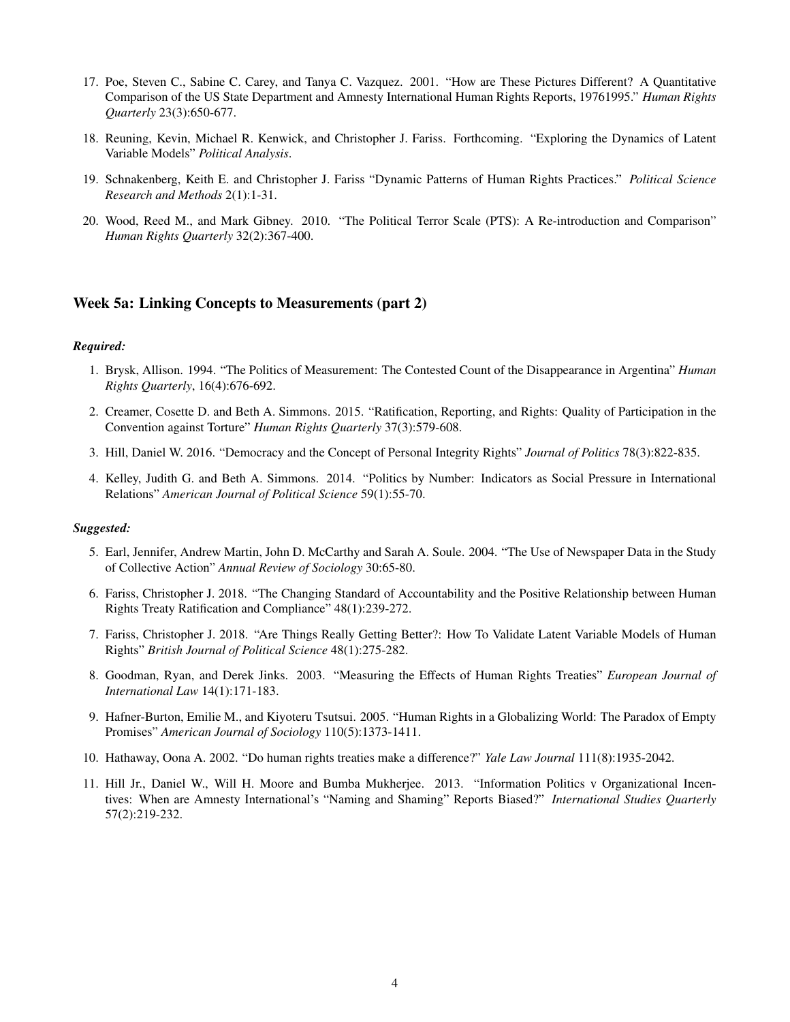- 17. Poe, Steven C., Sabine C. Carey, and Tanya C. Vazquez. 2001. "How are These Pictures Different? A Quantitative Comparison of the US State Department and Amnesty International Human Rights Reports, 19761995." *Human Rights Quarterly* 23(3):650-677.
- 18. Reuning, Kevin, Michael R. Kenwick, and Christopher J. Fariss. Forthcoming. "Exploring the Dynamics of Latent Variable Models" *Political Analysis*.
- 19. Schnakenberg, Keith E. and Christopher J. Fariss "Dynamic Patterns of Human Rights Practices." *Political Science Research and Methods* 2(1):1-31.
- 20. Wood, Reed M., and Mark Gibney. 2010. "The Political Terror Scale (PTS): A Re-introduction and Comparison" *Human Rights Quarterly* 32(2):367-400.

## Week 5a: Linking Concepts to Measurements (part 2)

#### *Required:*

- 1. Brysk, Allison. 1994. "The Politics of Measurement: The Contested Count of the Disappearance in Argentina" *Human Rights Quarterly*, 16(4):676-692.
- 2. Creamer, Cosette D. and Beth A. Simmons. 2015. "Ratification, Reporting, and Rights: Quality of Participation in the Convention against Torture" *Human Rights Quarterly* 37(3):579-608.
- 3. Hill, Daniel W. 2016. "Democracy and the Concept of Personal Integrity Rights" *Journal of Politics* 78(3):822-835.
- 4. Kelley, Judith G. and Beth A. Simmons. 2014. "Politics by Number: Indicators as Social Pressure in International Relations" *American Journal of Political Science* 59(1):55-70.

- 5. Earl, Jennifer, Andrew Martin, John D. McCarthy and Sarah A. Soule. 2004. "The Use of Newspaper Data in the Study of Collective Action" *Annual Review of Sociology* 30:65-80.
- 6. Fariss, Christopher J. 2018. "The Changing Standard of Accountability and the Positive Relationship between Human Rights Treaty Ratification and Compliance" 48(1):239-272.
- 7. Fariss, Christopher J. 2018. "Are Things Really Getting Better?: How To Validate Latent Variable Models of Human Rights" *British Journal of Political Science* 48(1):275-282.
- 8. Goodman, Ryan, and Derek Jinks. 2003. "Measuring the Effects of Human Rights Treaties" *European Journal of International Law* 14(1):171-183.
- 9. Hafner-Burton, Emilie M., and Kiyoteru Tsutsui. 2005. "Human Rights in a Globalizing World: The Paradox of Empty Promises" *American Journal of Sociology* 110(5):1373-1411.
- 10. Hathaway, Oona A. 2002. "Do human rights treaties make a difference?" *Yale Law Journal* 111(8):1935-2042.
- 11. Hill Jr., Daniel W., Will H. Moore and Bumba Mukherjee. 2013. "Information Politics v Organizational Incentives: When are Amnesty International's "Naming and Shaming" Reports Biased?" *International Studies Quarterly* 57(2):219-232.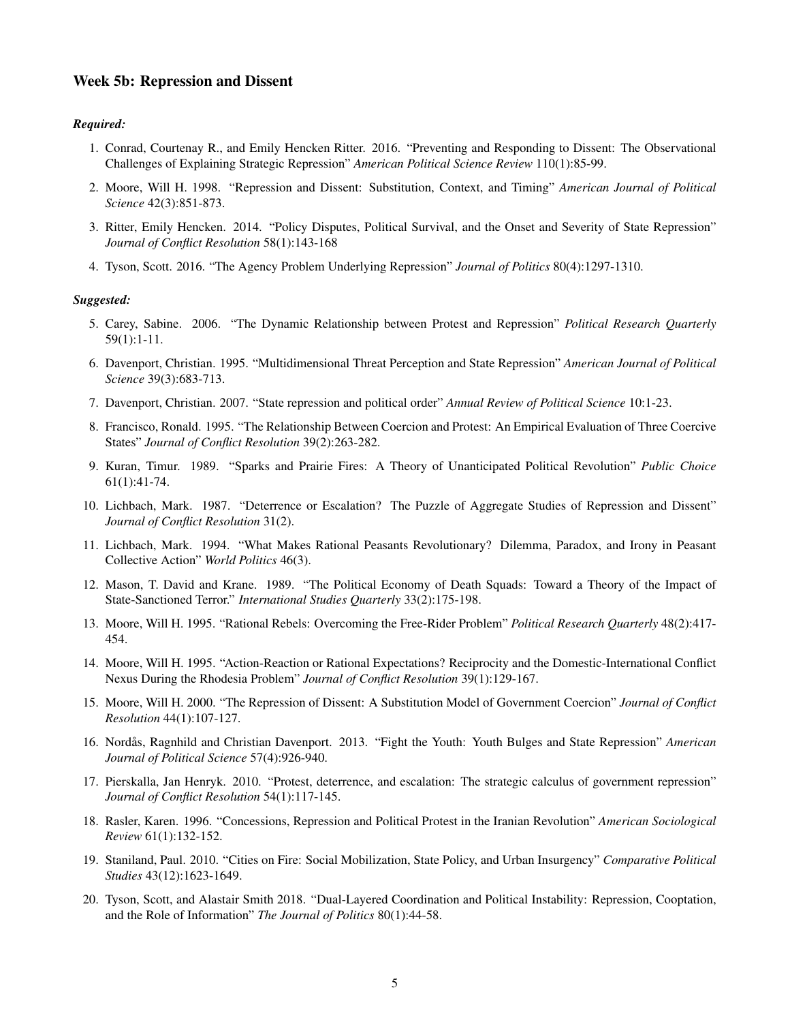## Week 5b: Repression and Dissent

#### *Required:*

- 1. Conrad, Courtenay R., and Emily Hencken Ritter. 2016. "Preventing and Responding to Dissent: The Observational Challenges of Explaining Strategic Repression" *American Political Science Review* 110(1):85-99.
- 2. Moore, Will H. 1998. "Repression and Dissent: Substitution, Context, and Timing" *American Journal of Political Science* 42(3):851-873.
- 3. Ritter, Emily Hencken. 2014. "Policy Disputes, Political Survival, and the Onset and Severity of State Repression" *Journal of Conflict Resolution* 58(1):143-168
- 4. Tyson, Scott. 2016. "The Agency Problem Underlying Repression" *Journal of Politics* 80(4):1297-1310.

- 5. Carey, Sabine. 2006. "The Dynamic Relationship between Protest and Repression" *Political Research Quarterly* 59(1):1-11.
- 6. Davenport, Christian. 1995. "Multidimensional Threat Perception and State Repression" *American Journal of Political Science* 39(3):683-713.
- 7. Davenport, Christian. 2007. "State repression and political order" *Annual Review of Political Science* 10:1-23.
- 8. Francisco, Ronald. 1995. "The Relationship Between Coercion and Protest: An Empirical Evaluation of Three Coercive States" *Journal of Conflict Resolution* 39(2):263-282.
- 9. Kuran, Timur. 1989. "Sparks and Prairie Fires: A Theory of Unanticipated Political Revolution" *Public Choice* 61(1):41-74.
- 10. Lichbach, Mark. 1987. "Deterrence or Escalation? The Puzzle of Aggregate Studies of Repression and Dissent" *Journal of Conflict Resolution* 31(2).
- 11. Lichbach, Mark. 1994. "What Makes Rational Peasants Revolutionary? Dilemma, Paradox, and Irony in Peasant Collective Action" *World Politics* 46(3).
- 12. Mason, T. David and Krane. 1989. "The Political Economy of Death Squads: Toward a Theory of the Impact of State-Sanctioned Terror." *International Studies Quarterly* 33(2):175-198.
- 13. Moore, Will H. 1995. "Rational Rebels: Overcoming the Free-Rider Problem" *Political Research Quarterly* 48(2):417- 454.
- 14. Moore, Will H. 1995. "Action-Reaction or Rational Expectations? Reciprocity and the Domestic-International Conflict Nexus During the Rhodesia Problem" *Journal of Conflict Resolution* 39(1):129-167.
- 15. Moore, Will H. 2000. "The Repression of Dissent: A Substitution Model of Government Coercion" *Journal of Conflict Resolution* 44(1):107-127.
- 16. Nordås, Ragnhild and Christian Davenport. 2013. "Fight the Youth: Youth Bulges and State Repression" *American Journal of Political Science* 57(4):926-940.
- 17. Pierskalla, Jan Henryk. 2010. "Protest, deterrence, and escalation: The strategic calculus of government repression" *Journal of Conflict Resolution* 54(1):117-145.
- 18. Rasler, Karen. 1996. "Concessions, Repression and Political Protest in the Iranian Revolution" *American Sociological Review* 61(1):132-152.
- 19. Staniland, Paul. 2010. "Cities on Fire: Social Mobilization, State Policy, and Urban Insurgency" *Comparative Political Studies* 43(12):1623-1649.
- 20. Tyson, Scott, and Alastair Smith 2018. "Dual-Layered Coordination and Political Instability: Repression, Cooptation, and the Role of Information" *The Journal of Politics* 80(1):44-58.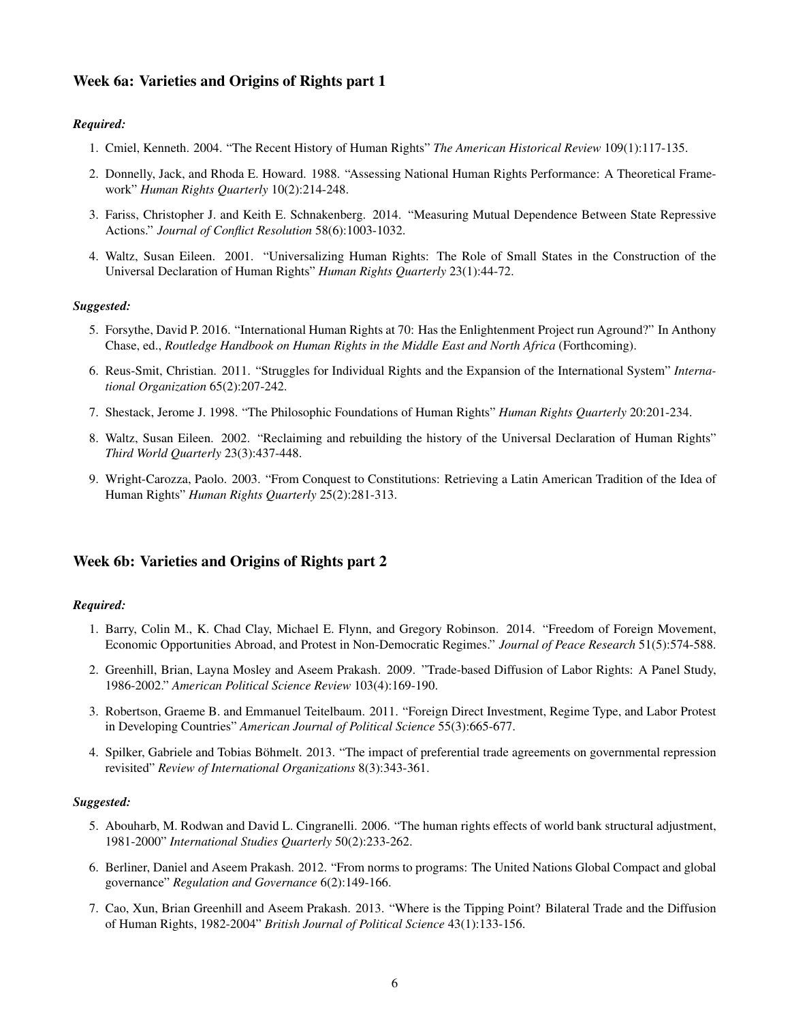## Week 6a: Varieties and Origins of Rights part 1

## *Required:*

- 1. Cmiel, Kenneth. 2004. "The Recent History of Human Rights" *The American Historical Review* 109(1):117-135.
- 2. Donnelly, Jack, and Rhoda E. Howard. 1988. "Assessing National Human Rights Performance: A Theoretical Framework" *Human Rights Quarterly* 10(2):214-248.
- 3. Fariss, Christopher J. and Keith E. Schnakenberg. 2014. "Measuring Mutual Dependence Between State Repressive Actions." *Journal of Conflict Resolution* 58(6):1003-1032.
- 4. Waltz, Susan Eileen. 2001. "Universalizing Human Rights: The Role of Small States in the Construction of the Universal Declaration of Human Rights" *Human Rights Quarterly* 23(1):44-72.

#### *Suggested:*

- 5. Forsythe, David P. 2016. "International Human Rights at 70: Has the Enlightenment Project run Aground?" In Anthony Chase, ed., *Routledge Handbook on Human Rights in the Middle East and North Africa* (Forthcoming).
- 6. Reus-Smit, Christian. 2011. "Struggles for Individual Rights and the Expansion of the International System" *International Organization* 65(2):207-242.
- 7. Shestack, Jerome J. 1998. "The Philosophic Foundations of Human Rights" *Human Rights Quarterly* 20:201-234.
- 8. Waltz, Susan Eileen. 2002. "Reclaiming and rebuilding the history of the Universal Declaration of Human Rights" *Third World Quarterly* 23(3):437-448.
- 9. Wright-Carozza, Paolo. 2003. "From Conquest to Constitutions: Retrieving a Latin American Tradition of the Idea of Human Rights" *Human Rights Quarterly* 25(2):281-313.

## Week 6b: Varieties and Origins of Rights part 2

#### *Required:*

- 1. Barry, Colin M., K. Chad Clay, Michael E. Flynn, and Gregory Robinson. 2014. "Freedom of Foreign Movement, Economic Opportunities Abroad, and Protest in Non-Democratic Regimes." *Journal of Peace Research* 51(5):574-588.
- 2. Greenhill, Brian, Layna Mosley and Aseem Prakash. 2009. "Trade-based Diffusion of Labor Rights: A Panel Study, 1986-2002." *American Political Science Review* 103(4):169-190.
- 3. Robertson, Graeme B. and Emmanuel Teitelbaum. 2011. "Foreign Direct Investment, Regime Type, and Labor Protest in Developing Countries" *American Journal of Political Science* 55(3):665-677.
- 4. Spilker, Gabriele and Tobias Böhmelt. 2013. "The impact of preferential trade agreements on governmental repression revisited" *Review of International Organizations* 8(3):343-361.

- 5. Abouharb, M. Rodwan and David L. Cingranelli. 2006. "The human rights effects of world bank structural adjustment, 1981-2000" *International Studies Quarterly* 50(2):233-262.
- 6. Berliner, Daniel and Aseem Prakash. 2012. "From norms to programs: The United Nations Global Compact and global governance" *Regulation and Governance* 6(2):149-166.
- 7. Cao, Xun, Brian Greenhill and Aseem Prakash. 2013. "Where is the Tipping Point? Bilateral Trade and the Diffusion of Human Rights, 1982-2004" *British Journal of Political Science* 43(1):133-156.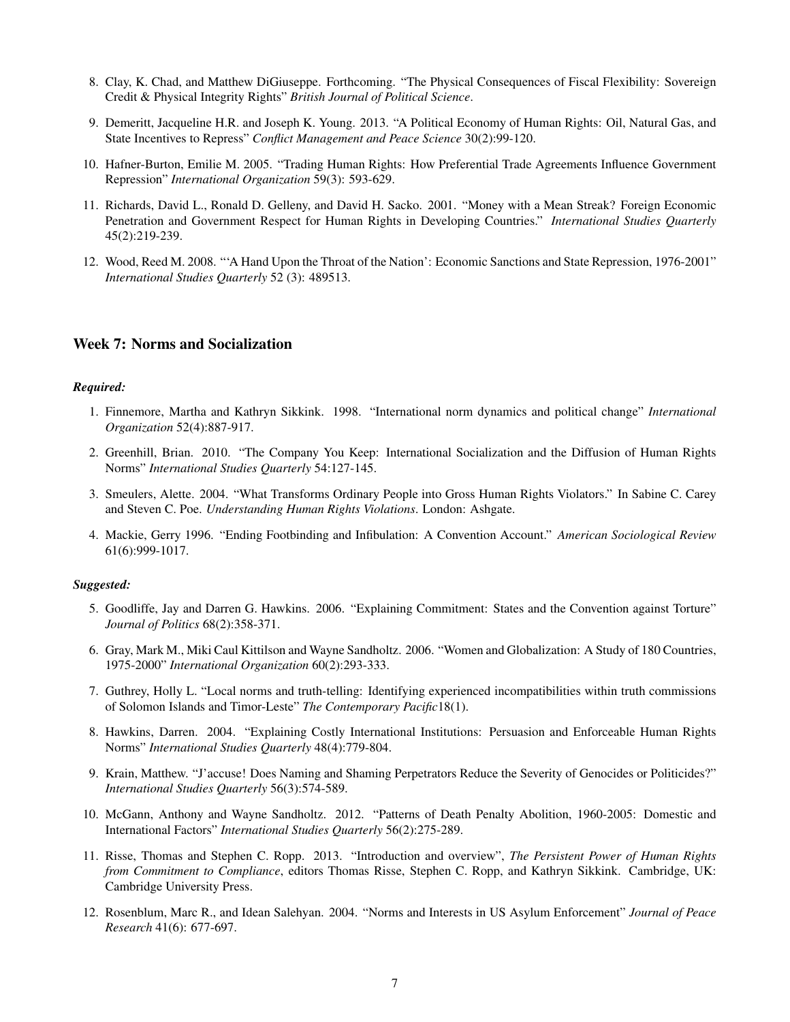- 8. Clay, K. Chad, and Matthew DiGiuseppe. Forthcoming. "The Physical Consequences of Fiscal Flexibility: Sovereign Credit & Physical Integrity Rights" *British Journal of Political Science*.
- 9. Demeritt, Jacqueline H.R. and Joseph K. Young. 2013. "A Political Economy of Human Rights: Oil, Natural Gas, and State Incentives to Repress" *Conflict Management and Peace Science* 30(2):99-120.
- 10. Hafner-Burton, Emilie M. 2005. "Trading Human Rights: How Preferential Trade Agreements Influence Government Repression" *International Organization* 59(3): 593-629.
- 11. Richards, David L., Ronald D. Gelleny, and David H. Sacko. 2001. "Money with a Mean Streak? Foreign Economic Penetration and Government Respect for Human Rights in Developing Countries." *International Studies Quarterly* 45(2):219-239.
- 12. Wood, Reed M. 2008. "'A Hand Upon the Throat of the Nation': Economic Sanctions and State Repression, 1976-2001" *International Studies Quarterly* 52 (3): 489513.

## Week 7: Norms and Socialization

#### *Required:*

- 1. Finnemore, Martha and Kathryn Sikkink. 1998. "International norm dynamics and political change" *International Organization* 52(4):887-917.
- 2. Greenhill, Brian. 2010. "The Company You Keep: International Socialization and the Diffusion of Human Rights Norms" *International Studies Quarterly* 54:127-145.
- 3. Smeulers, Alette. 2004. "What Transforms Ordinary People into Gross Human Rights Violators." In Sabine C. Carey and Steven C. Poe. *Understanding Human Rights Violations*. London: Ashgate.
- 4. Mackie, Gerry 1996. "Ending Footbinding and Infibulation: A Convention Account." *American Sociological Review* 61(6):999-1017.

- 5. Goodliffe, Jay and Darren G. Hawkins. 2006. "Explaining Commitment: States and the Convention against Torture" *Journal of Politics* 68(2):358-371.
- 6. Gray, Mark M., Miki Caul Kittilson and Wayne Sandholtz. 2006. "Women and Globalization: A Study of 180 Countries, 1975-2000" *International Organization* 60(2):293-333.
- 7. Guthrey, Holly L. "Local norms and truth-telling: Identifying experienced incompatibilities within truth commissions of Solomon Islands and Timor-Leste" *The Contemporary Pacific*18(1).
- 8. Hawkins, Darren. 2004. "Explaining Costly International Institutions: Persuasion and Enforceable Human Rights Norms" *International Studies Quarterly* 48(4):779-804.
- 9. Krain, Matthew. "J'accuse! Does Naming and Shaming Perpetrators Reduce the Severity of Genocides or Politicides?" *International Studies Quarterly* 56(3):574-589.
- 10. McGann, Anthony and Wayne Sandholtz. 2012. "Patterns of Death Penalty Abolition, 1960-2005: Domestic and International Factors" *International Studies Quarterly* 56(2):275-289.
- 11. Risse, Thomas and Stephen C. Ropp. 2013. "Introduction and overview", *The Persistent Power of Human Rights from Commitment to Compliance*, editors Thomas Risse, Stephen C. Ropp, and Kathryn Sikkink. Cambridge, UK: Cambridge University Press.
- 12. Rosenblum, Marc R., and Idean Salehyan. 2004. "Norms and Interests in US Asylum Enforcement" *Journal of Peace Research* 41(6): 677-697.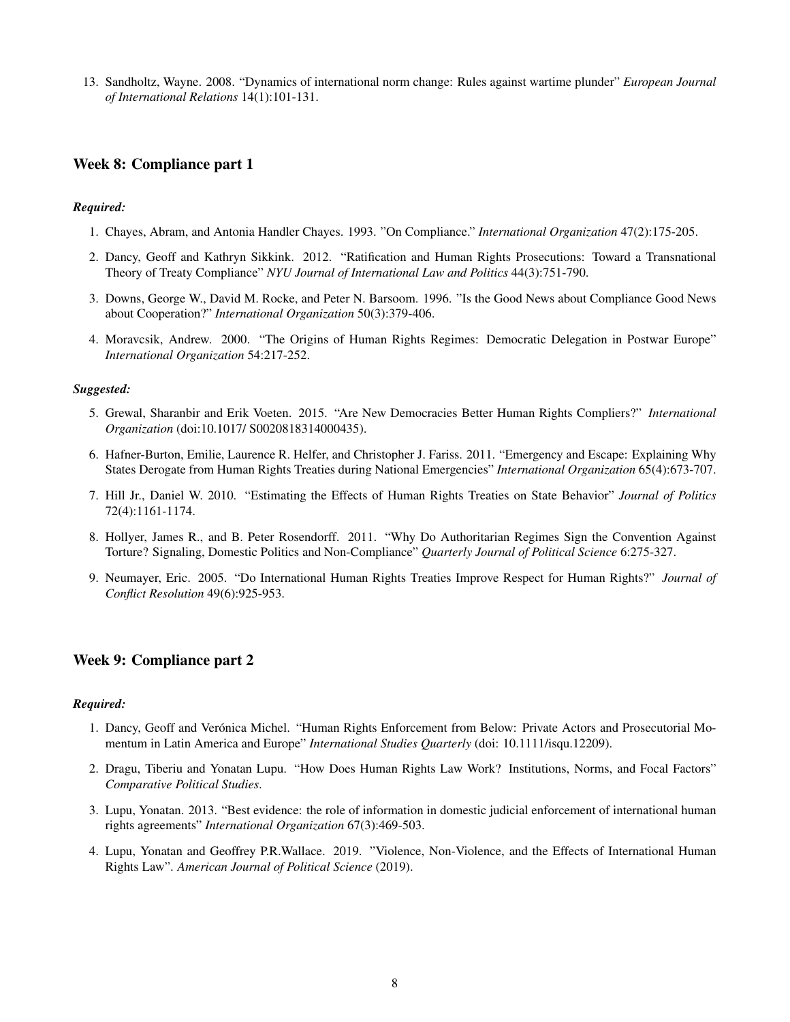13. Sandholtz, Wayne. 2008. "Dynamics of international norm change: Rules against wartime plunder" *European Journal of International Relations* 14(1):101-131.

## Week 8: Compliance part 1

## *Required:*

- 1. Chayes, Abram, and Antonia Handler Chayes. 1993. "On Compliance." *International Organization* 47(2):175-205.
- 2. Dancy, Geoff and Kathryn Sikkink. 2012. "Ratification and Human Rights Prosecutions: Toward a Transnational Theory of Treaty Compliance" *NYU Journal of International Law and Politics* 44(3):751-790.
- 3. Downs, George W., David M. Rocke, and Peter N. Barsoom. 1996. "Is the Good News about Compliance Good News about Cooperation?" *International Organization* 50(3):379-406.
- 4. Moravcsik, Andrew. 2000. "The Origins of Human Rights Regimes: Democratic Delegation in Postwar Europe" *International Organization* 54:217-252.

#### *Suggested:*

- 5. Grewal, Sharanbir and Erik Voeten. 2015. "Are New Democracies Better Human Rights Compliers?" *International Organization* (doi:10.1017/ S0020818314000435).
- 6. Hafner-Burton, Emilie, Laurence R. Helfer, and Christopher J. Fariss. 2011. "Emergency and Escape: Explaining Why States Derogate from Human Rights Treaties during National Emergencies" *International Organization* 65(4):673-707.
- 7. Hill Jr., Daniel W. 2010. "Estimating the Effects of Human Rights Treaties on State Behavior" *Journal of Politics* 72(4):1161-1174.
- 8. Hollyer, James R., and B. Peter Rosendorff. 2011. "Why Do Authoritarian Regimes Sign the Convention Against Torture? Signaling, Domestic Politics and Non-Compliance" *Quarterly Journal of Political Science* 6:275-327.
- 9. Neumayer, Eric. 2005. "Do International Human Rights Treaties Improve Respect for Human Rights?" *Journal of Conflict Resolution* 49(6):925-953.

## Week 9: Compliance part 2

- 1. Dancy, Geoff and Verónica Michel. "Human Rights Enforcement from Below: Private Actors and Prosecutorial Momentum in Latin America and Europe" *International Studies Quarterly* (doi: 10.1111/isqu.12209).
- 2. Dragu, Tiberiu and Yonatan Lupu. "How Does Human Rights Law Work? Institutions, Norms, and Focal Factors" *Comparative Political Studies*.
- 3. Lupu, Yonatan. 2013. "Best evidence: the role of information in domestic judicial enforcement of international human rights agreements" *International Organization* 67(3):469-503.
- 4. Lupu, Yonatan and Geoffrey P.R.Wallace. 2019. "Violence, Non-Violence, and the Effects of International Human Rights Law". *American Journal of Political Science* (2019).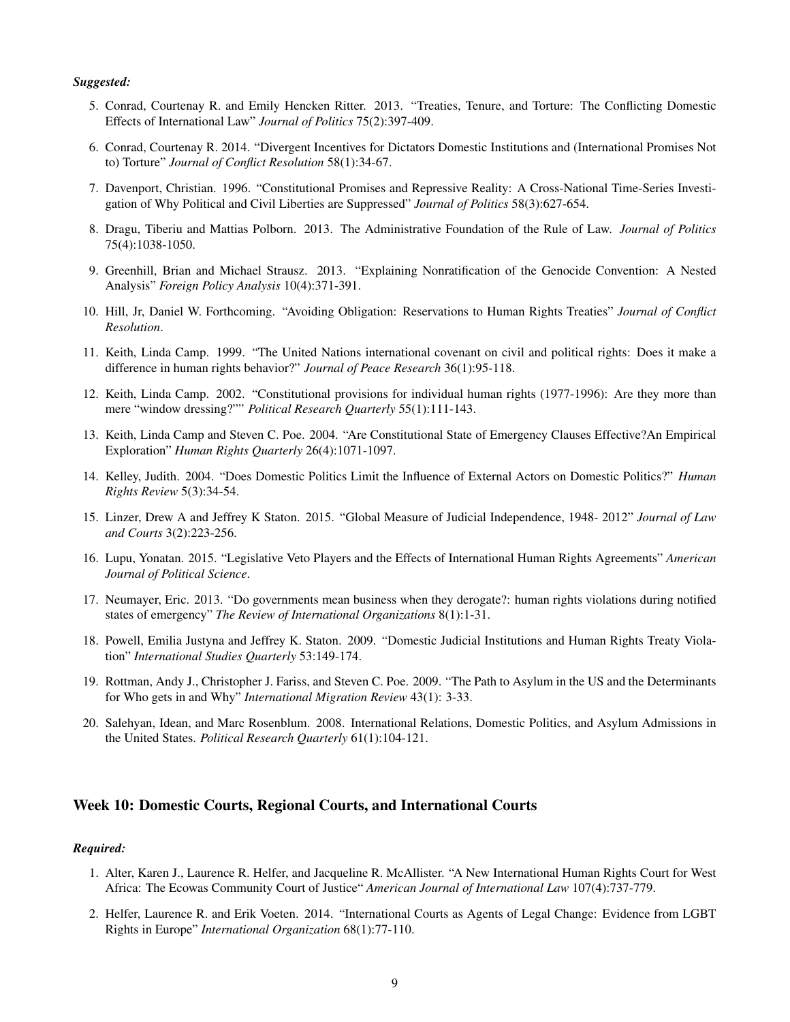- 5. Conrad, Courtenay R. and Emily Hencken Ritter. 2013. "Treaties, Tenure, and Torture: The Conflicting Domestic Effects of International Law" *Journal of Politics* 75(2):397-409.
- 6. Conrad, Courtenay R. 2014. "Divergent Incentives for Dictators Domestic Institutions and (International Promises Not to) Torture" *Journal of Conflict Resolution* 58(1):34-67.
- 7. Davenport, Christian. 1996. "Constitutional Promises and Repressive Reality: A Cross-National Time-Series Investigation of Why Political and Civil Liberties are Suppressed" *Journal of Politics* 58(3):627-654.
- 8. Dragu, Tiberiu and Mattias Polborn. 2013. The Administrative Foundation of the Rule of Law. *Journal of Politics* 75(4):1038-1050.
- 9. Greenhill, Brian and Michael Strausz. 2013. "Explaining Nonratification of the Genocide Convention: A Nested Analysis" *Foreign Policy Analysis* 10(4):371-391.
- 10. Hill, Jr, Daniel W. Forthcoming. "Avoiding Obligation: Reservations to Human Rights Treaties" *Journal of Conflict Resolution*.
- 11. Keith, Linda Camp. 1999. "The United Nations international covenant on civil and political rights: Does it make a difference in human rights behavior?" *Journal of Peace Research* 36(1):95-118.
- 12. Keith, Linda Camp. 2002. "Constitutional provisions for individual human rights (1977-1996): Are they more than mere "window dressing?"" *Political Research Quarterly* 55(1):111-143.
- 13. Keith, Linda Camp and Steven C. Poe. 2004. "Are Constitutional State of Emergency Clauses Effective?An Empirical Exploration" *Human Rights Quarterly* 26(4):1071-1097.
- 14. Kelley, Judith. 2004. "Does Domestic Politics Limit the Influence of External Actors on Domestic Politics?" *Human Rights Review* 5(3):34-54.
- 15. Linzer, Drew A and Jeffrey K Staton. 2015. "Global Measure of Judicial Independence, 1948- 2012" *Journal of Law and Courts* 3(2):223-256.
- 16. Lupu, Yonatan. 2015. "Legislative Veto Players and the Effects of International Human Rights Agreements" *American Journal of Political Science*.
- 17. Neumayer, Eric. 2013. "Do governments mean business when they derogate?: human rights violations during notified states of emergency" *The Review of International Organizations* 8(1):1-31.
- 18. Powell, Emilia Justyna and Jeffrey K. Staton. 2009. "Domestic Judicial Institutions and Human Rights Treaty Violation" *International Studies Quarterly* 53:149-174.
- 19. Rottman, Andy J., Christopher J. Fariss, and Steven C. Poe. 2009. "The Path to Asylum in the US and the Determinants for Who gets in and Why" *International Migration Review* 43(1): 3-33.
- 20. Salehyan, Idean, and Marc Rosenblum. 2008. International Relations, Domestic Politics, and Asylum Admissions in the United States. *Political Research Quarterly* 61(1):104-121.

## Week 10: Domestic Courts, Regional Courts, and International Courts

- 1. Alter, Karen J., Laurence R. Helfer, and Jacqueline R. McAllister. "A New International Human Rights Court for West Africa: The Ecowas Community Court of Justice" *American Journal of International Law* 107(4):737-779.
- 2. Helfer, Laurence R. and Erik Voeten. 2014. "International Courts as Agents of Legal Change: Evidence from LGBT Rights in Europe" *International Organization* 68(1):77-110.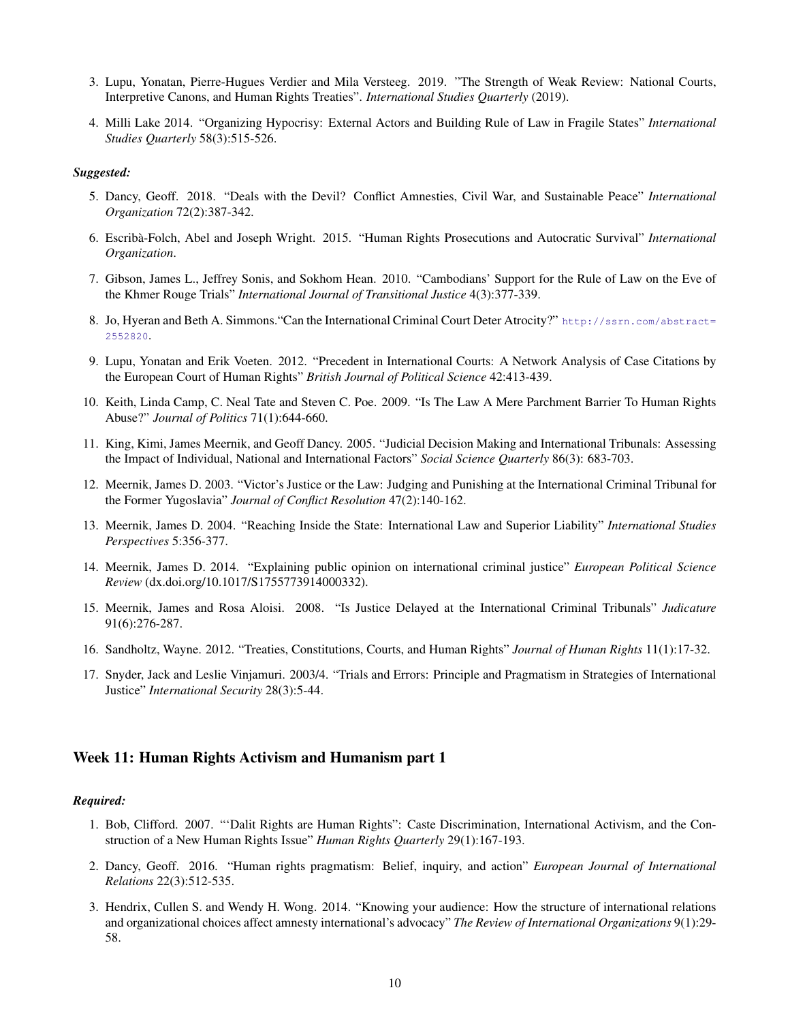- 3. Lupu, Yonatan, Pierre-Hugues Verdier and Mila Versteeg. 2019. "The Strength of Weak Review: National Courts, Interpretive Canons, and Human Rights Treaties". *International Studies Quarterly* (2019).
- 4. Milli Lake 2014. "Organizing Hypocrisy: External Actors and Building Rule of Law in Fragile States" *International Studies Quarterly* 58(3):515-526.

- 5. Dancy, Geoff. 2018. "Deals with the Devil? Conflict Amnesties, Civil War, and Sustainable Peace" *International Organization* 72(2):387-342.
- 6. Escriba-Folch, Abel and Joseph Wright. 2015. "Human Rights Prosecutions and Autocratic Survival" ` *International Organization*.
- 7. Gibson, James L., Jeffrey Sonis, and Sokhom Hean. 2010. "Cambodians' Support for the Rule of Law on the Eve of the Khmer Rouge Trials" *International Journal of Transitional Justice* 4(3):377-339.
- 8. Jo, Hyeran and Beth A. Simmons. "Can the International Criminal Court Deter Atrocity?" [http://ssrn.com/abstract=](http://ssrn.com/abstract=2552820) [2552820](http://ssrn.com/abstract=2552820).
- 9. Lupu, Yonatan and Erik Voeten. 2012. "Precedent in International Courts: A Network Analysis of Case Citations by the European Court of Human Rights" *British Journal of Political Science* 42:413-439.
- 10. Keith, Linda Camp, C. Neal Tate and Steven C. Poe. 2009. "Is The Law A Mere Parchment Barrier To Human Rights Abuse?" *Journal of Politics* 71(1):644-660.
- 11. King, Kimi, James Meernik, and Geoff Dancy. 2005. "Judicial Decision Making and International Tribunals: Assessing the Impact of Individual, National and International Factors" *Social Science Quarterly* 86(3): 683-703.
- 12. Meernik, James D. 2003. "Victor's Justice or the Law: Judging and Punishing at the International Criminal Tribunal for the Former Yugoslavia" *Journal of Conflict Resolution* 47(2):140-162.
- 13. Meernik, James D. 2004. "Reaching Inside the State: International Law and Superior Liability" *International Studies Perspectives* 5:356-377.
- 14. Meernik, James D. 2014. "Explaining public opinion on international criminal justice" *European Political Science Review* (dx.doi.org/10.1017/S1755773914000332).
- 15. Meernik, James and Rosa Aloisi. 2008. "Is Justice Delayed at the International Criminal Tribunals" *Judicature* 91(6):276-287.
- 16. Sandholtz, Wayne. 2012. "Treaties, Constitutions, Courts, and Human Rights" *Journal of Human Rights* 11(1):17-32.
- 17. Snyder, Jack and Leslie Vinjamuri. 2003/4. "Trials and Errors: Principle and Pragmatism in Strategies of International Justice" *International Security* 28(3):5-44.

## Week 11: Human Rights Activism and Humanism part 1

- 1. Bob, Clifford. 2007. "'Dalit Rights are Human Rights": Caste Discrimination, International Activism, and the Construction of a New Human Rights Issue" *Human Rights Quarterly* 29(1):167-193.
- 2. Dancy, Geoff. 2016. "Human rights pragmatism: Belief, inquiry, and action" *European Journal of International Relations* 22(3):512-535.
- 3. Hendrix, Cullen S. and Wendy H. Wong. 2014. "Knowing your audience: How the structure of international relations and organizational choices affect amnesty international's advocacy" *The Review of International Organizations* 9(1):29- 58.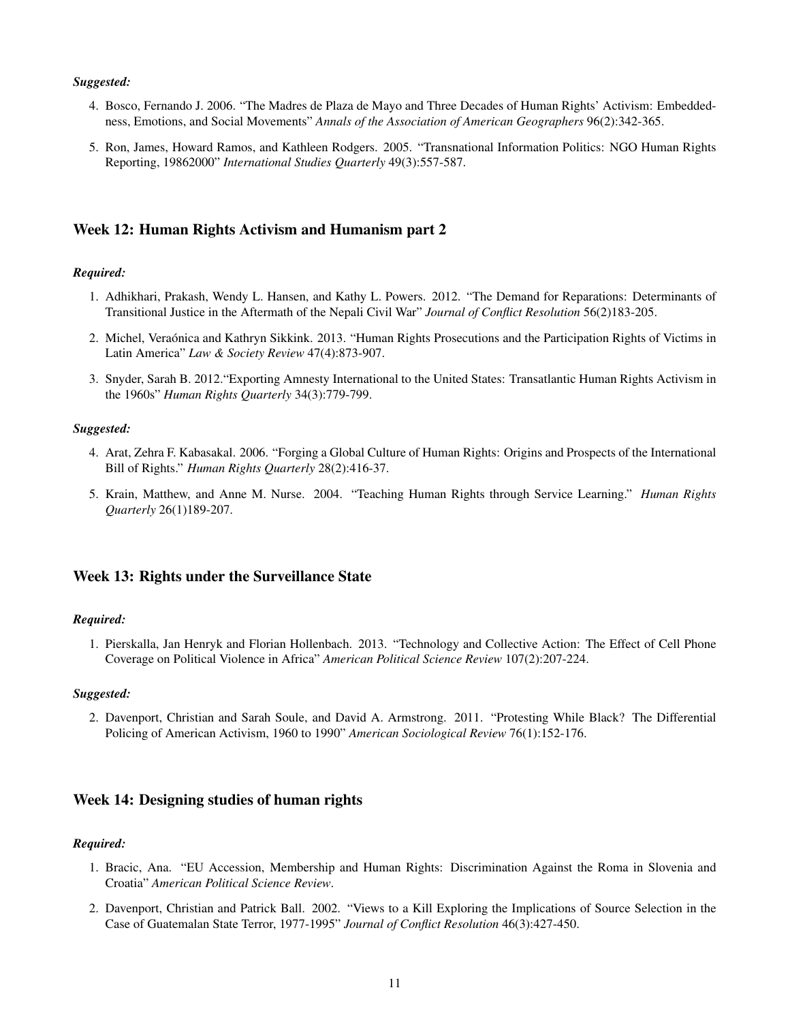- 4. Bosco, Fernando J. 2006. "The Madres de Plaza de Mayo and Three Decades of Human Rights' Activism: Embeddedness, Emotions, and Social Movements" *Annals of the Association of American Geographers* 96(2):342-365.
- 5. Ron, James, Howard Ramos, and Kathleen Rodgers. 2005. "Transnational Information Politics: NGO Human Rights Reporting, 19862000" *International Studies Quarterly* 49(3):557-587.

## Week 12: Human Rights Activism and Humanism part 2

#### *Required:*

- 1. Adhikhari, Prakash, Wendy L. Hansen, and Kathy L. Powers. 2012. "The Demand for Reparations: Determinants of Transitional Justice in the Aftermath of the Nepali Civil War" *Journal of Conflict Resolution* 56(2)183-205.
- 2. Michel, Veraónica and Kathryn Sikkink. 2013. "Human Rights Prosecutions and the Participation Rights of Victims in Latin America" *Law & Society Review* 47(4):873-907.
- 3. Snyder, Sarah B. 2012."Exporting Amnesty International to the United States: Transatlantic Human Rights Activism in the 1960s" *Human Rights Quarterly* 34(3):779-799.

#### *Suggested:*

- 4. Arat, Zehra F. Kabasakal. 2006. "Forging a Global Culture of Human Rights: Origins and Prospects of the International Bill of Rights." *Human Rights Quarterly* 28(2):416-37.
- 5. Krain, Matthew, and Anne M. Nurse. 2004. "Teaching Human Rights through Service Learning." *Human Rights Quarterly* 26(1)189-207.

## Week 13: Rights under the Surveillance State

#### *Required:*

1. Pierskalla, Jan Henryk and Florian Hollenbach. 2013. "Technology and Collective Action: The Effect of Cell Phone Coverage on Political Violence in Africa" *American Political Science Review* 107(2):207-224.

## *Suggested:*

2. Davenport, Christian and Sarah Soule, and David A. Armstrong. 2011. "Protesting While Black? The Differential Policing of American Activism, 1960 to 1990" *American Sociological Review* 76(1):152-176.

## Week 14: Designing studies of human rights

- 1. Bracic, Ana. "EU Accession, Membership and Human Rights: Discrimination Against the Roma in Slovenia and Croatia" *American Political Science Review*.
- 2. Davenport, Christian and Patrick Ball. 2002. "Views to a Kill Exploring the Implications of Source Selection in the Case of Guatemalan State Terror, 1977-1995" *Journal of Conflict Resolution* 46(3):427-450.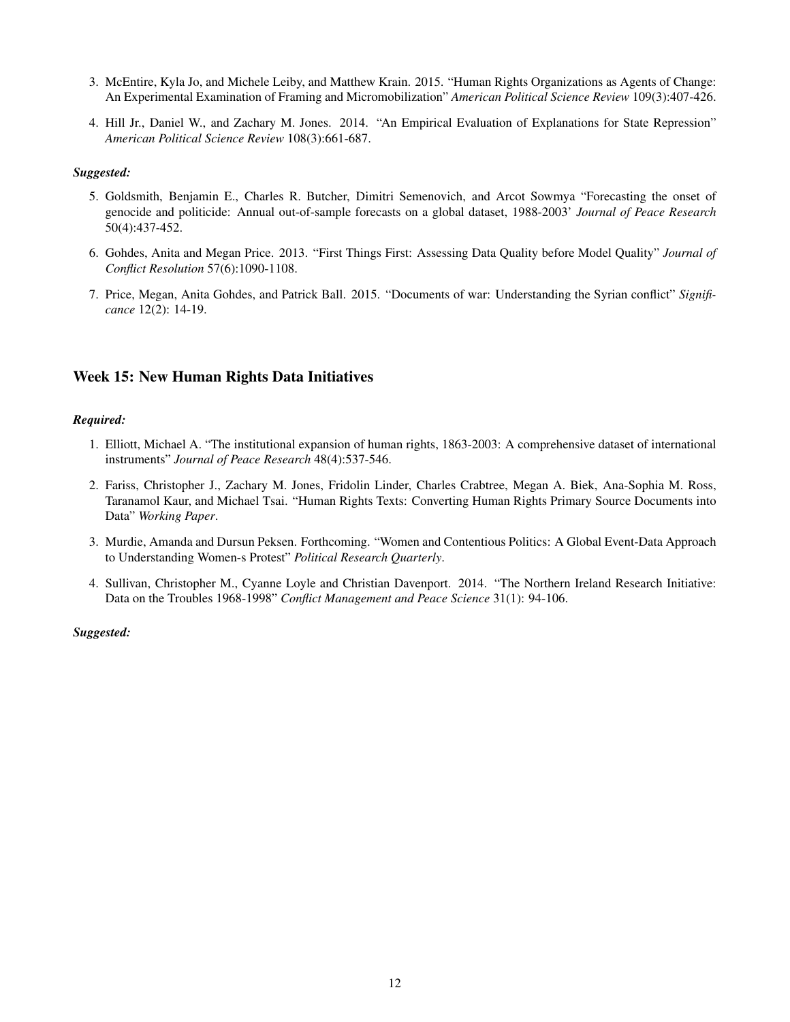- 3. McEntire, Kyla Jo, and Michele Leiby, and Matthew Krain. 2015. "Human Rights Organizations as Agents of Change: An Experimental Examination of Framing and Micromobilization" *American Political Science Review* 109(3):407-426.
- 4. Hill Jr., Daniel W., and Zachary M. Jones. 2014. "An Empirical Evaluation of Explanations for State Repression" *American Political Science Review* 108(3):661-687.

- 5. Goldsmith, Benjamin E., Charles R. Butcher, Dimitri Semenovich, and Arcot Sowmya "Forecasting the onset of genocide and politicide: Annual out-of-sample forecasts on a global dataset, 1988-2003' *Journal of Peace Research* 50(4):437-452.
- 6. Gohdes, Anita and Megan Price. 2013. "First Things First: Assessing Data Quality before Model Quality" *Journal of Conflict Resolution* 57(6):1090-1108.
- 7. Price, Megan, Anita Gohdes, and Patrick Ball. 2015. "Documents of war: Understanding the Syrian conflict" *Significance* 12(2): 14-19.

# Week 15: New Human Rights Data Initiatives

## *Required:*

- 1. Elliott, Michael A. "The institutional expansion of human rights, 1863-2003: A comprehensive dataset of international instruments" *Journal of Peace Research* 48(4):537-546.
- 2. Fariss, Christopher J., Zachary M. Jones, Fridolin Linder, Charles Crabtree, Megan A. Biek, Ana-Sophia M. Ross, Taranamol Kaur, and Michael Tsai. "Human Rights Texts: Converting Human Rights Primary Source Documents into Data" *Working Paper*.
- 3. Murdie, Amanda and Dursun Peksen. Forthcoming. "Women and Contentious Politics: A Global Event-Data Approach to Understanding Women-s Protest" *Political Research Quarterly*.
- 4. Sullivan, Christopher M., Cyanne Loyle and Christian Davenport. 2014. "The Northern Ireland Research Initiative: Data on the Troubles 1968-1998" *Conflict Management and Peace Science* 31(1): 94-106.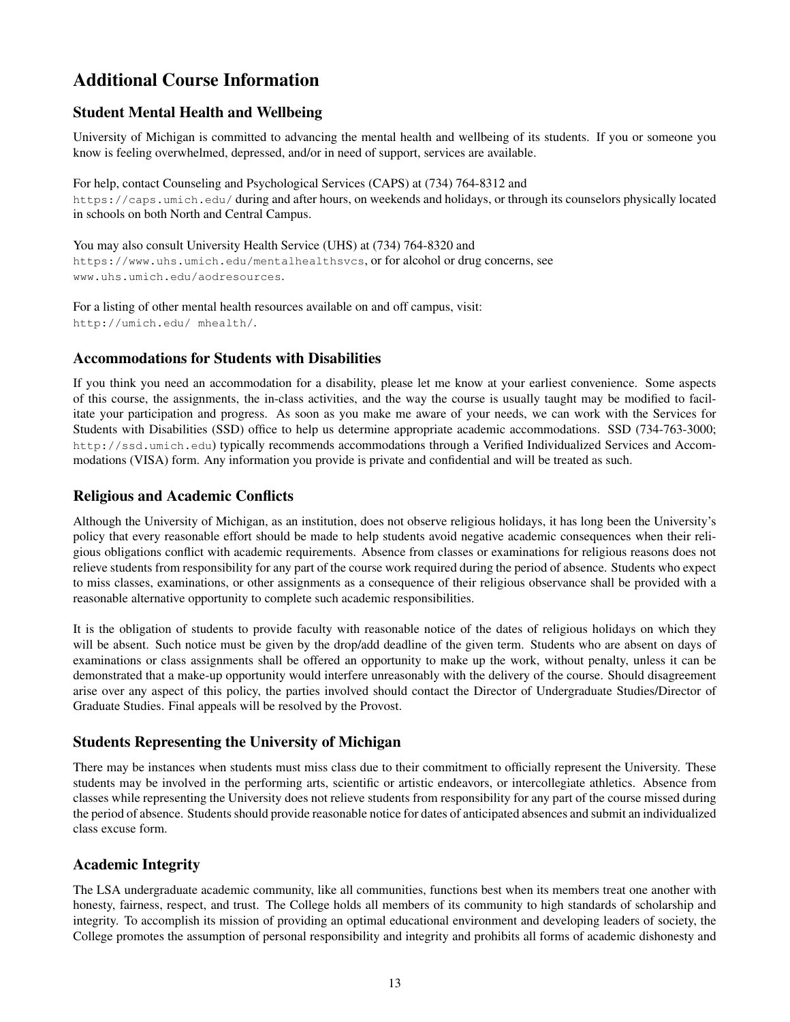# Additional Course Information

# Student Mental Health and Wellbeing

University of Michigan is committed to advancing the mental health and wellbeing of its students. If you or someone you know is feeling overwhelmed, depressed, and/or in need of support, services are available.

For help, contact Counseling and Psychological Services (CAPS) at (734) 764-8312 and https://caps.umich.edu/ during and after hours, on weekends and holidays, or through its counselors physically located in schools on both North and Central Campus.

You may also consult University Health Service (UHS) at (734) 764-8320 and https://www.uhs.umich.edu/mentalhealthsvcs, or for alcohol or drug concerns, see www.uhs.umich.edu/aodresources.

For a listing of other mental health resources available on and off campus, visit: http://umich.edu/ mhealth/.

# Accommodations for Students with Disabilities

If you think you need an accommodation for a disability, please let me know at your earliest convenience. Some aspects of this course, the assignments, the in-class activities, and the way the course is usually taught may be modified to facilitate your participation and progress. As soon as you make me aware of your needs, we can work with the Services for Students with Disabilities (SSD) office to help us determine appropriate academic accommodations. SSD (734-763-3000; http://ssd.umich.edu) typically recommends accommodations through a Verified Individualized Services and Accommodations (VISA) form. Any information you provide is private and confidential and will be treated as such.

# Religious and Academic Conflicts

Although the University of Michigan, as an institution, does not observe religious holidays, it has long been the University's policy that every reasonable effort should be made to help students avoid negative academic consequences when their religious obligations conflict with academic requirements. Absence from classes or examinations for religious reasons does not relieve students from responsibility for any part of the course work required during the period of absence. Students who expect to miss classes, examinations, or other assignments as a consequence of their religious observance shall be provided with a reasonable alternative opportunity to complete such academic responsibilities.

It is the obligation of students to provide faculty with reasonable notice of the dates of religious holidays on which they will be absent. Such notice must be given by the drop/add deadline of the given term. Students who are absent on days of examinations or class assignments shall be offered an opportunity to make up the work, without penalty, unless it can be demonstrated that a make-up opportunity would interfere unreasonably with the delivery of the course. Should disagreement arise over any aspect of this policy, the parties involved should contact the Director of Undergraduate Studies/Director of Graduate Studies. Final appeals will be resolved by the Provost.

# Students Representing the University of Michigan

There may be instances when students must miss class due to their commitment to officially represent the University. These students may be involved in the performing arts, scientific or artistic endeavors, or intercollegiate athletics. Absence from classes while representing the University does not relieve students from responsibility for any part of the course missed during the period of absence. Students should provide reasonable notice for dates of anticipated absences and submit an individualized class excuse form.

# Academic Integrity

The LSA undergraduate academic community, like all communities, functions best when its members treat one another with honesty, fairness, respect, and trust. The College holds all members of its community to high standards of scholarship and integrity. To accomplish its mission of providing an optimal educational environment and developing leaders of society, the College promotes the assumption of personal responsibility and integrity and prohibits all forms of academic dishonesty and